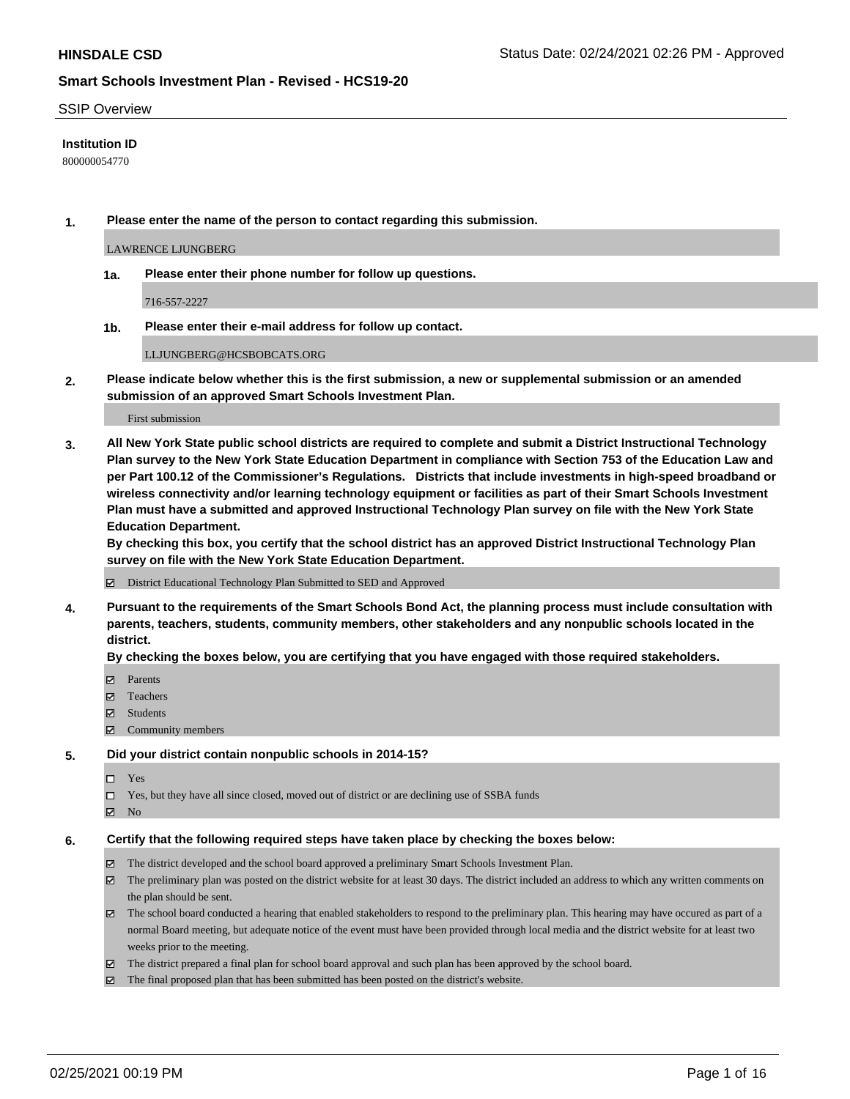### SSIP Overview

## **Institution ID**

800000054770

**1. Please enter the name of the person to contact regarding this submission.**

LAWRENCE LJUNGBERG

**1a. Please enter their phone number for follow up questions.**

716-557-2227

**1b. Please enter their e-mail address for follow up contact.**

LLJUNGBERG@HCSBOBCATS.ORG

**2. Please indicate below whether this is the first submission, a new or supplemental submission or an amended submission of an approved Smart Schools Investment Plan.**

#### First submission

**3. All New York State public school districts are required to complete and submit a District Instructional Technology Plan survey to the New York State Education Department in compliance with Section 753 of the Education Law and per Part 100.12 of the Commissioner's Regulations. Districts that include investments in high-speed broadband or wireless connectivity and/or learning technology equipment or facilities as part of their Smart Schools Investment Plan must have a submitted and approved Instructional Technology Plan survey on file with the New York State Education Department.** 

**By checking this box, you certify that the school district has an approved District Instructional Technology Plan survey on file with the New York State Education Department.**

District Educational Technology Plan Submitted to SED and Approved

**4. Pursuant to the requirements of the Smart Schools Bond Act, the planning process must include consultation with parents, teachers, students, community members, other stakeholders and any nonpublic schools located in the district.** 

### **By checking the boxes below, you are certifying that you have engaged with those required stakeholders.**

- **Ø** Parents
- Teachers
- Students
- Community members

#### **5. Did your district contain nonpublic schools in 2014-15?**

- □ Yes
- □ Yes, but they have all since closed, moved out of district or are declining use of SSBA funds
- **Ø** No

#### **6. Certify that the following required steps have taken place by checking the boxes below:**

- The district developed and the school board approved a preliminary Smart Schools Investment Plan.
- The preliminary plan was posted on the district website for at least 30 days. The district included an address to which any written comments on the plan should be sent.
- The school board conducted a hearing that enabled stakeholders to respond to the preliminary plan. This hearing may have occured as part of a normal Board meeting, but adequate notice of the event must have been provided through local media and the district website for at least two weeks prior to the meeting.
- The district prepared a final plan for school board approval and such plan has been approved by the school board.
- $\boxtimes$  The final proposed plan that has been submitted has been posted on the district's website.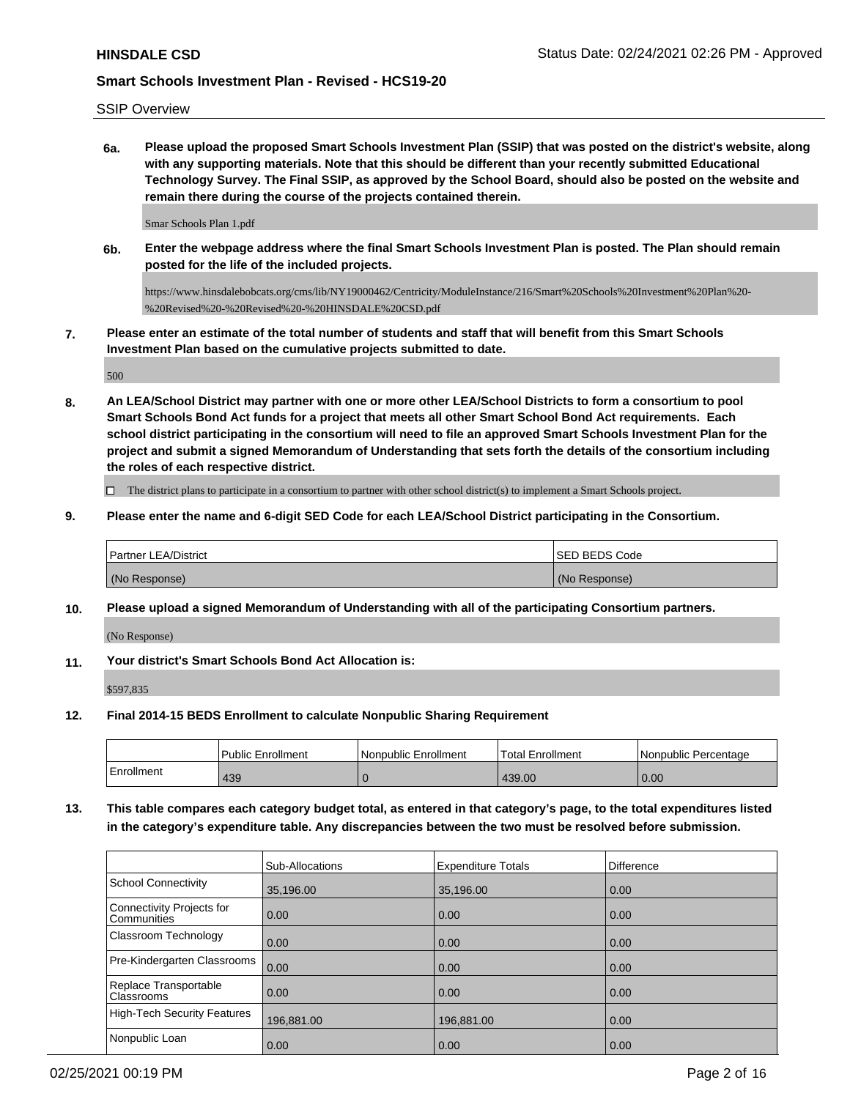SSIP Overview

**6a. Please upload the proposed Smart Schools Investment Plan (SSIP) that was posted on the district's website, along with any supporting materials. Note that this should be different than your recently submitted Educational Technology Survey. The Final SSIP, as approved by the School Board, should also be posted on the website and remain there during the course of the projects contained therein.**

Smar Schools Plan 1.pdf

**6b. Enter the webpage address where the final Smart Schools Investment Plan is posted. The Plan should remain posted for the life of the included projects.**

https://www.hinsdalebobcats.org/cms/lib/NY19000462/Centricity/ModuleInstance/216/Smart%20Schools%20Investment%20Plan%20- %20Revised%20-%20Revised%20-%20HINSDALE%20CSD.pdf

**7. Please enter an estimate of the total number of students and staff that will benefit from this Smart Schools Investment Plan based on the cumulative projects submitted to date.**

500

**8. An LEA/School District may partner with one or more other LEA/School Districts to form a consortium to pool Smart Schools Bond Act funds for a project that meets all other Smart School Bond Act requirements. Each school district participating in the consortium will need to file an approved Smart Schools Investment Plan for the project and submit a signed Memorandum of Understanding that sets forth the details of the consortium including the roles of each respective district.**

 $\Box$  The district plans to participate in a consortium to partner with other school district(s) to implement a Smart Schools project.

**9. Please enter the name and 6-digit SED Code for each LEA/School District participating in the Consortium.**

| <b>Partner LEA/District</b> | <b>ISED BEDS Code</b> |
|-----------------------------|-----------------------|
| (No Response)               | (No Response)         |

**10. Please upload a signed Memorandum of Understanding with all of the participating Consortium partners.**

(No Response)

**11. Your district's Smart Schools Bond Act Allocation is:**

\$597,835

**12. Final 2014-15 BEDS Enrollment to calculate Nonpublic Sharing Requirement**

|            | <b>Public Enrollment</b> | Nonpublic Enrollment | 'Total Enrollment | l Nonpublic Percentage |
|------------|--------------------------|----------------------|-------------------|------------------------|
| Enrollment | 439                      |                      | 439.00            | 0.00                   |

**13. This table compares each category budget total, as entered in that category's page, to the total expenditures listed in the category's expenditure table. Any discrepancies between the two must be resolved before submission.**

|                                            | <b>Sub-Allocations</b> | <b>Expenditure Totals</b> | <b>Difference</b> |
|--------------------------------------------|------------------------|---------------------------|-------------------|
| School Connectivity                        | 35,196.00              | 35,196.00                 | 0.00              |
| Connectivity Projects for<br>l Communities | $\overline{0.00}$      | 0.00                      | 0.00              |
| Classroom Technology                       | 0.00                   | 0.00                      | 0.00              |
| Pre-Kindergarten Classrooms                | 0.00                   | 0.00                      | 0.00              |
| Replace Transportable<br>Classrooms        | $\overline{0.00}$      | 0.00                      | 0.00              |
| High-Tech Security Features                | 196,881.00             | 196,881.00                | 0.00              |
| Nonpublic Loan                             | 0.00                   | 0.00                      | 0.00              |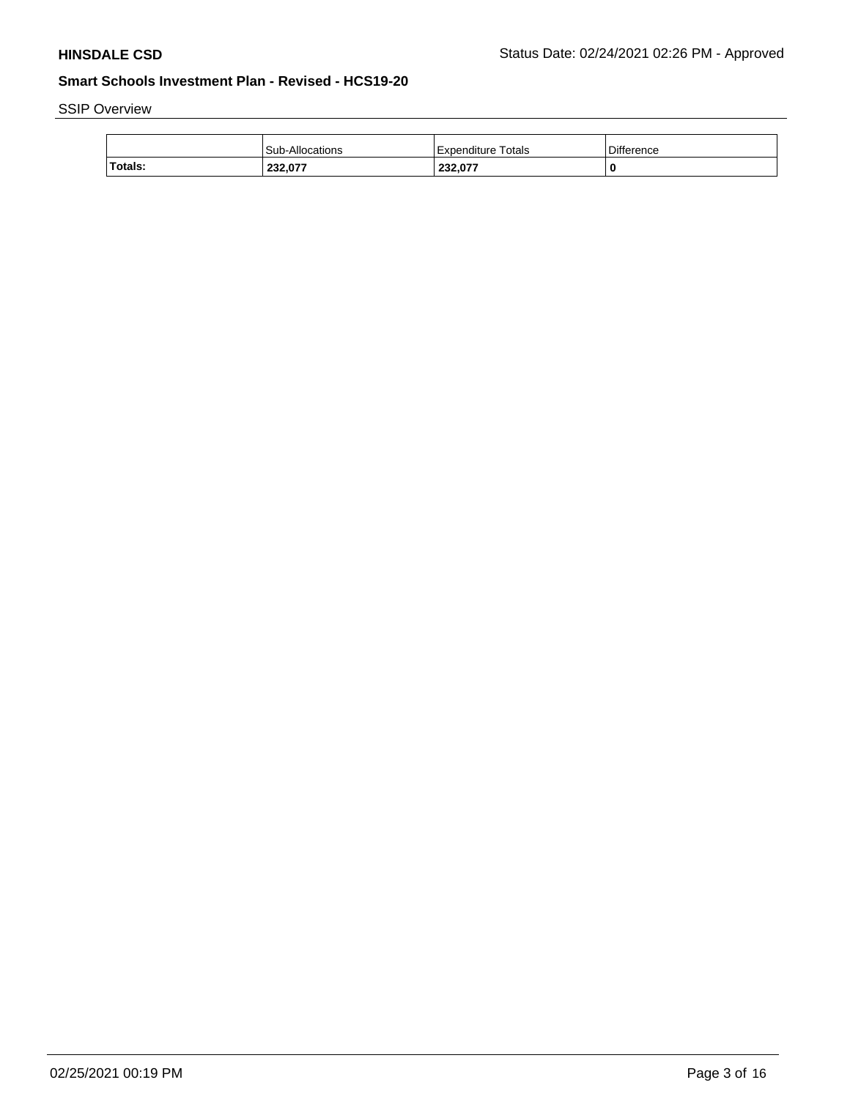# SSIP Overview

|         | Sub-Allocations | Expenditure Totals | Difference |
|---------|-----------------|--------------------|------------|
| Totals: | 232,077         | 232,077            |            |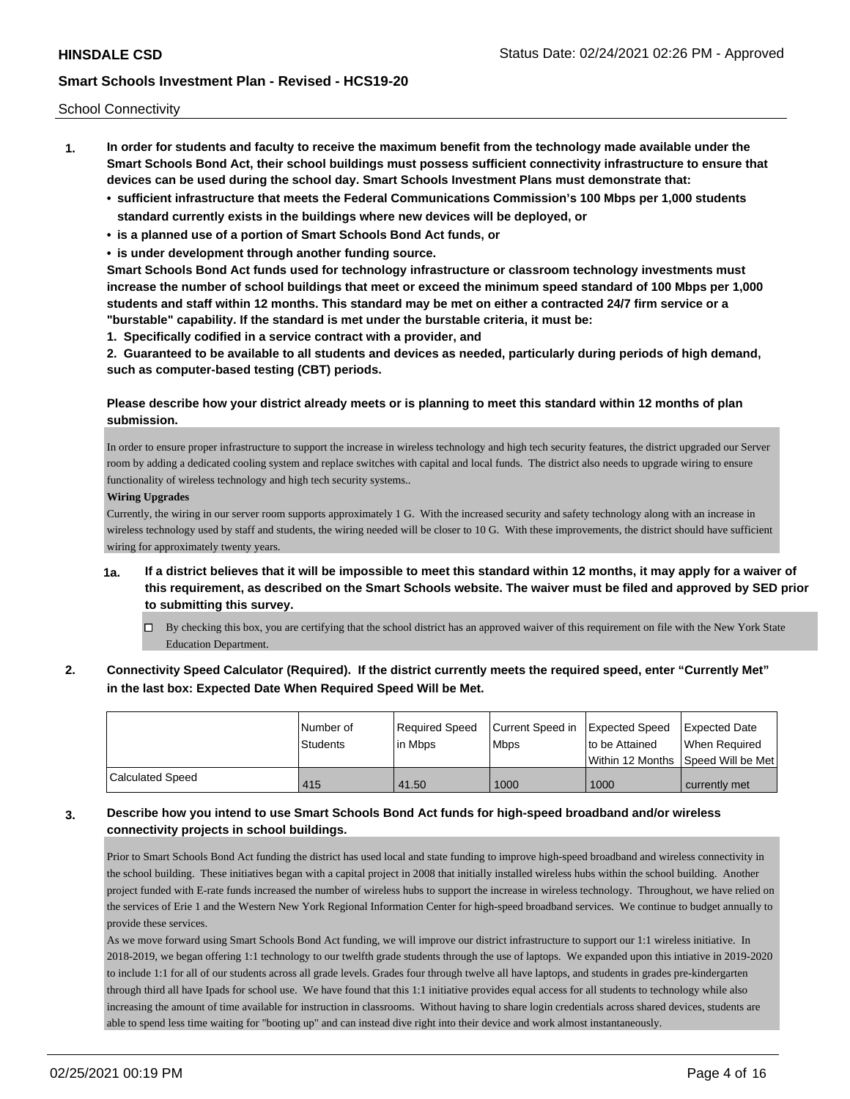School Connectivity

- **1. In order for students and faculty to receive the maximum benefit from the technology made available under the Smart Schools Bond Act, their school buildings must possess sufficient connectivity infrastructure to ensure that devices can be used during the school day. Smart Schools Investment Plans must demonstrate that:**
	- **• sufficient infrastructure that meets the Federal Communications Commission's 100 Mbps per 1,000 students standard currently exists in the buildings where new devices will be deployed, or**
	- **• is a planned use of a portion of Smart Schools Bond Act funds, or**
	- **• is under development through another funding source.**

**Smart Schools Bond Act funds used for technology infrastructure or classroom technology investments must increase the number of school buildings that meet or exceed the minimum speed standard of 100 Mbps per 1,000 students and staff within 12 months. This standard may be met on either a contracted 24/7 firm service or a "burstable" capability. If the standard is met under the burstable criteria, it must be:**

**1. Specifically codified in a service contract with a provider, and**

**2. Guaranteed to be available to all students and devices as needed, particularly during periods of high demand, such as computer-based testing (CBT) periods.**

## **Please describe how your district already meets or is planning to meet this standard within 12 months of plan submission.**

In order to ensure proper infrastructure to support the increase in wireless technology and high tech security features, the district upgraded our Server room by adding a dedicated cooling system and replace switches with capital and local funds. The district also needs to upgrade wiring to ensure functionality of wireless technology and high tech security systems..

### **Wiring Upgrades**

Currently, the wiring in our server room supports approximately 1 G. With the increased security and safety technology along with an increase in wireless technology used by staff and students, the wiring needed will be closer to 10 G. With these improvements, the district should have sufficient wiring for approximately twenty years.

- **1a. If a district believes that it will be impossible to meet this standard within 12 months, it may apply for a waiver of this requirement, as described on the Smart Schools website. The waiver must be filed and approved by SED prior to submitting this survey.**
	- $\Box$  By checking this box, you are certifying that the school district has an approved waiver of this requirement on file with the New York State Education Department.
- **2. Connectivity Speed Calculator (Required). If the district currently meets the required speed, enter "Currently Met" in the last box: Expected Date When Required Speed Will be Met.**

|                         | l Number of<br><b>Students</b> | Required Speed<br>lin Mbps | Current Speed in Expected Speed<br><b>Mbps</b> | to be Attained                     | Expected Date<br>When Required |
|-------------------------|--------------------------------|----------------------------|------------------------------------------------|------------------------------------|--------------------------------|
|                         |                                |                            |                                                | Within 12 Months Speed Will be Met |                                |
| <b>Calculated Speed</b> | 415                            | 41.50                      | 1000                                           | 1000                               | currently met                  |

## **3. Describe how you intend to use Smart Schools Bond Act funds for high-speed broadband and/or wireless connectivity projects in school buildings.**

Prior to Smart Schools Bond Act funding the district has used local and state funding to improve high-speed broadband and wireless connectivity in the school building. These initiatives began with a capital project in 2008 that initially installed wireless hubs within the school building. Another project funded with E-rate funds increased the number of wireless hubs to support the increase in wireless technology. Throughout, we have relied on the services of Erie 1 and the Western New York Regional Information Center for high-speed broadband services. We continue to budget annually to provide these services.

As we move forward using Smart Schools Bond Act funding, we will improve our district infrastructure to support our 1:1 wireless initiative. In 2018-2019, we began offering 1:1 technology to our twelfth grade students through the use of laptops. We expanded upon this intiative in 2019-2020 to include 1:1 for all of our students across all grade levels. Grades four through twelve all have laptops, and students in grades pre-kindergarten through third all have Ipads for school use. We have found that this 1:1 initiative provides equal access for all students to technology while also increasing the amount of time available for instruction in classrooms. Without having to share login credentials across shared devices, students are able to spend less time waiting for "booting up" and can instead dive right into their device and work almost instantaneously.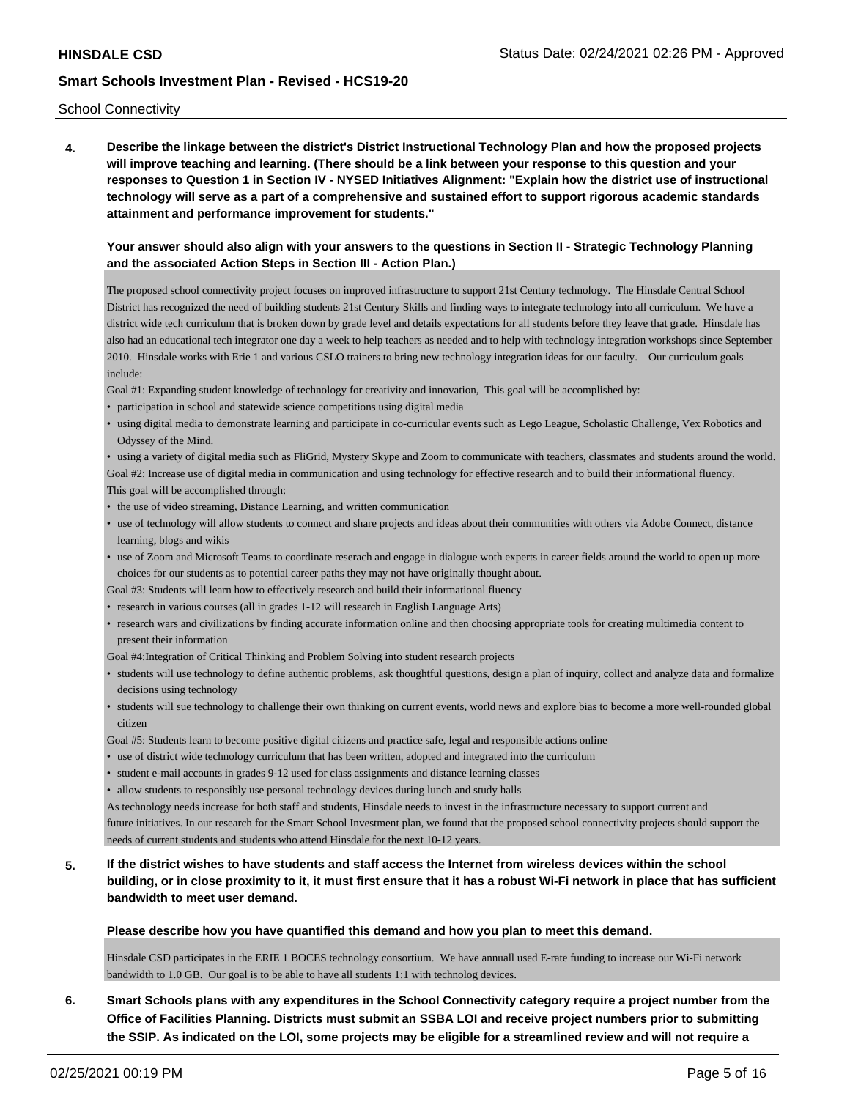### School Connectivity

**4. Describe the linkage between the district's District Instructional Technology Plan and how the proposed projects will improve teaching and learning. (There should be a link between your response to this question and your responses to Question 1 in Section IV - NYSED Initiatives Alignment: "Explain how the district use of instructional technology will serve as a part of a comprehensive and sustained effort to support rigorous academic standards attainment and performance improvement for students."** 

### **Your answer should also align with your answers to the questions in Section II - Strategic Technology Planning and the associated Action Steps in Section III - Action Plan.)**

The proposed school connectivity project focuses on improved infrastructure to support 21st Century technology. The Hinsdale Central School District has recognized the need of building students 21st Century Skills and finding ways to integrate technology into all curriculum. We have a district wide tech curriculum that is broken down by grade level and details expectations for all students before they leave that grade. Hinsdale has also had an educational tech integrator one day a week to help teachers as needed and to help with technology integration workshops since September 2010. Hinsdale works with Erie 1 and various CSLO trainers to bring new technology integration ideas for our faculty. Our curriculum goals include:

Goal #1: Expanding student knowledge of technology for creativity and innovation, This goal will be accomplished by:

- participation in school and statewide science competitions using digital media
- using digital media to demonstrate learning and participate in co-curricular events such as Lego League, Scholastic Challenge, Vex Robotics and Odyssey of the Mind.

• using a variety of digital media such as FliGrid, Mystery Skype and Zoom to communicate with teachers, classmates and students around the world.

Goal #2: Increase use of digital media in communication and using technology for effective research and to build their informational fluency. This goal will be accomplished through:

- the use of video streaming, Distance Learning, and written communication
- use of technology will allow students to connect and share projects and ideas about their communities with others via Adobe Connect, distance learning, blogs and wikis
- use of Zoom and Microsoft Teams to coordinate reserach and engage in dialogue woth experts in career fields around the world to open up more choices for our students as to potential career paths they may not have originally thought about.

Goal #3: Students will learn how to effectively research and build their informational fluency

- research in various courses (all in grades 1-12 will research in English Language Arts)
- research wars and civilizations by finding accurate information online and then choosing appropriate tools for creating multimedia content to present their information

Goal #4:Integration of Critical Thinking and Problem Solving into student research projects

- students will use technology to define authentic problems, ask thoughtful questions, design a plan of inquiry, collect and analyze data and formalize decisions using technology
- students will sue technology to challenge their own thinking on current events, world news and explore bias to become a more well-rounded global citizen

Goal #5: Students learn to become positive digital citizens and practice safe, legal and responsible actions online

- use of district wide technology curriculum that has been written, adopted and integrated into the curriculum
- student e-mail accounts in grades 9-12 used for class assignments and distance learning classes
- allow students to responsibly use personal technology devices during lunch and study halls

As technology needs increase for both staff and students, Hinsdale needs to invest in the infrastructure necessary to support current and future initiatives. In our research for the Smart School Investment plan, we found that the proposed school connectivity projects should support the needs of current students and students who attend Hinsdale for the next 10-12 years.

## **5. If the district wishes to have students and staff access the Internet from wireless devices within the school building, or in close proximity to it, it must first ensure that it has a robust Wi-Fi network in place that has sufficient bandwidth to meet user demand.**

### **Please describe how you have quantified this demand and how you plan to meet this demand.**

Hinsdale CSD participates in the ERIE 1 BOCES technology consortium. We have annuall used E-rate funding to increase our Wi-Fi network bandwidth to 1.0 GB. Our goal is to be able to have all students 1:1 with technolog devices.

**6. Smart Schools plans with any expenditures in the School Connectivity category require a project number from the Office of Facilities Planning. Districts must submit an SSBA LOI and receive project numbers prior to submitting the SSIP. As indicated on the LOI, some projects may be eligible for a streamlined review and will not require a**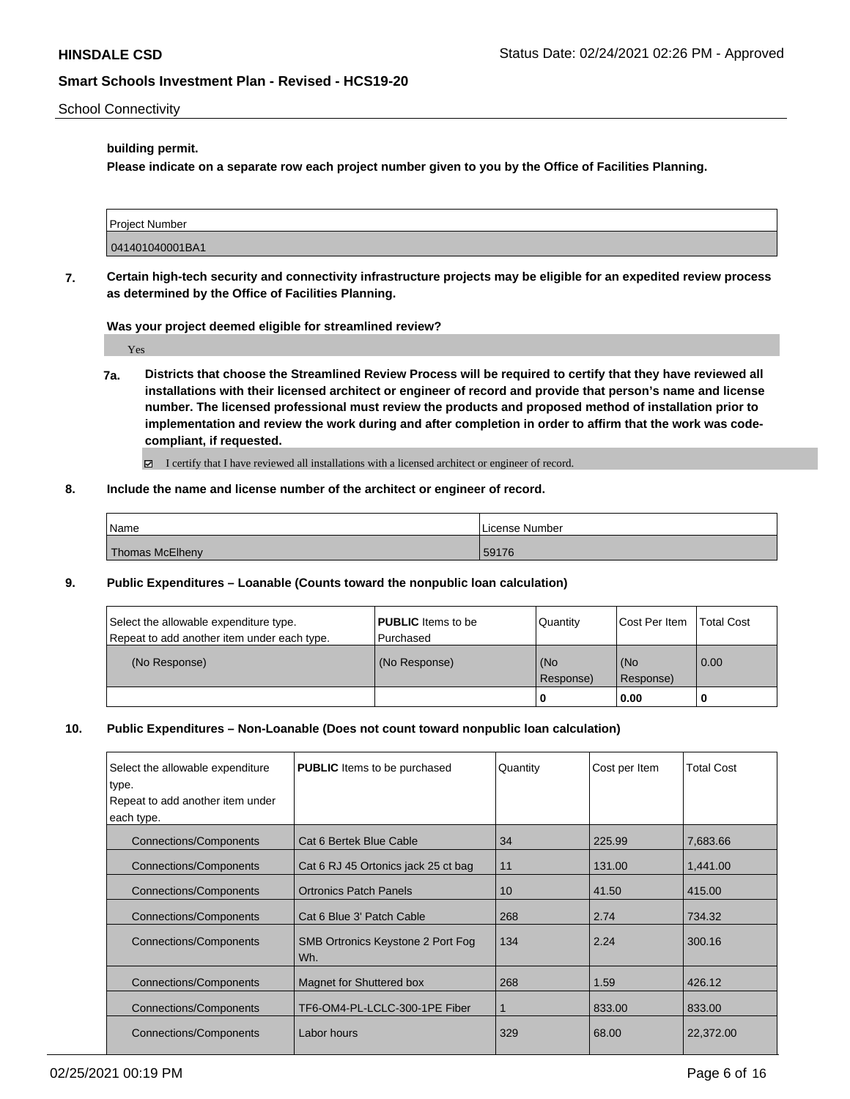### School Connectivity

### **building permit.**

**Please indicate on a separate row each project number given to you by the Office of Facilities Planning.**

| Project Number  |  |
|-----------------|--|
|                 |  |
|                 |  |
|                 |  |
| 041401040001BA1 |  |
|                 |  |
|                 |  |

**7. Certain high-tech security and connectivity infrastructure projects may be eligible for an expedited review process as determined by the Office of Facilities Planning.**

**Was your project deemed eligible for streamlined review?**

Yes

**7a. Districts that choose the Streamlined Review Process will be required to certify that they have reviewed all installations with their licensed architect or engineer of record and provide that person's name and license number. The licensed professional must review the products and proposed method of installation prior to implementation and review the work during and after completion in order to affirm that the work was codecompliant, if requested.**

I certify that I have reviewed all installations with a licensed architect or engineer of record.

## **8. Include the name and license number of the architect or engineer of record.**

| Name            | License Number |
|-----------------|----------------|
| Thomas McElheny | 59176          |

**9. Public Expenditures – Loanable (Counts toward the nonpublic loan calculation)**

| Select the allowable expenditure type.<br>Repeat to add another item under each type. | <b>PUBLIC</b> Items to be<br>Purchased | Quantity         | Cost Per Item    | <b>Total Cost</b> |
|---------------------------------------------------------------------------------------|----------------------------------------|------------------|------------------|-------------------|
| (No Response)                                                                         | (No Response)                          | (No<br>Response) | (No<br>Response) | 0.00              |
|                                                                                       |                                        |                  | 0.00             |                   |

### **10. Public Expenditures – Non-Loanable (Does not count toward nonpublic loan calculation)**

| Select the allowable expenditure | <b>PUBLIC</b> Items to be purchased      | Quantity | Cost per Item | <b>Total Cost</b> |
|----------------------------------|------------------------------------------|----------|---------------|-------------------|
| type.                            |                                          |          |               |                   |
| Repeat to add another item under |                                          |          |               |                   |
| each type.                       |                                          |          |               |                   |
| Connections/Components           | Cat 6 Bertek Blue Cable                  | 34       | 225.99        | 7,683.66          |
| <b>Connections/Components</b>    | Cat 6 RJ 45 Ortonics jack 25 ct bag      | 11       | 131.00        | 1,441.00          |
| <b>Connections/Components</b>    | <b>Ortronics Patch Panels</b>            | 10       | 41.50         | 415.00            |
| <b>Connections/Components</b>    | Cat 6 Blue 3' Patch Cable                | 268      | 2.74          | 734.32            |
| <b>Connections/Components</b>    | SMB Ortronics Keystone 2 Port Fog<br>Wh. | 134      | 2.24          | 300.16            |
| <b>Connections/Components</b>    | Magnet for Shuttered box                 | 268      | 1.59          | 426.12            |
| <b>Connections/Components</b>    | TF6-OM4-PL-LCLC-300-1PE Fiber            | 1        | 833.00        | 833.00            |
| <b>Connections/Components</b>    | Labor hours                              | 329      | 68.00         | 22,372.00         |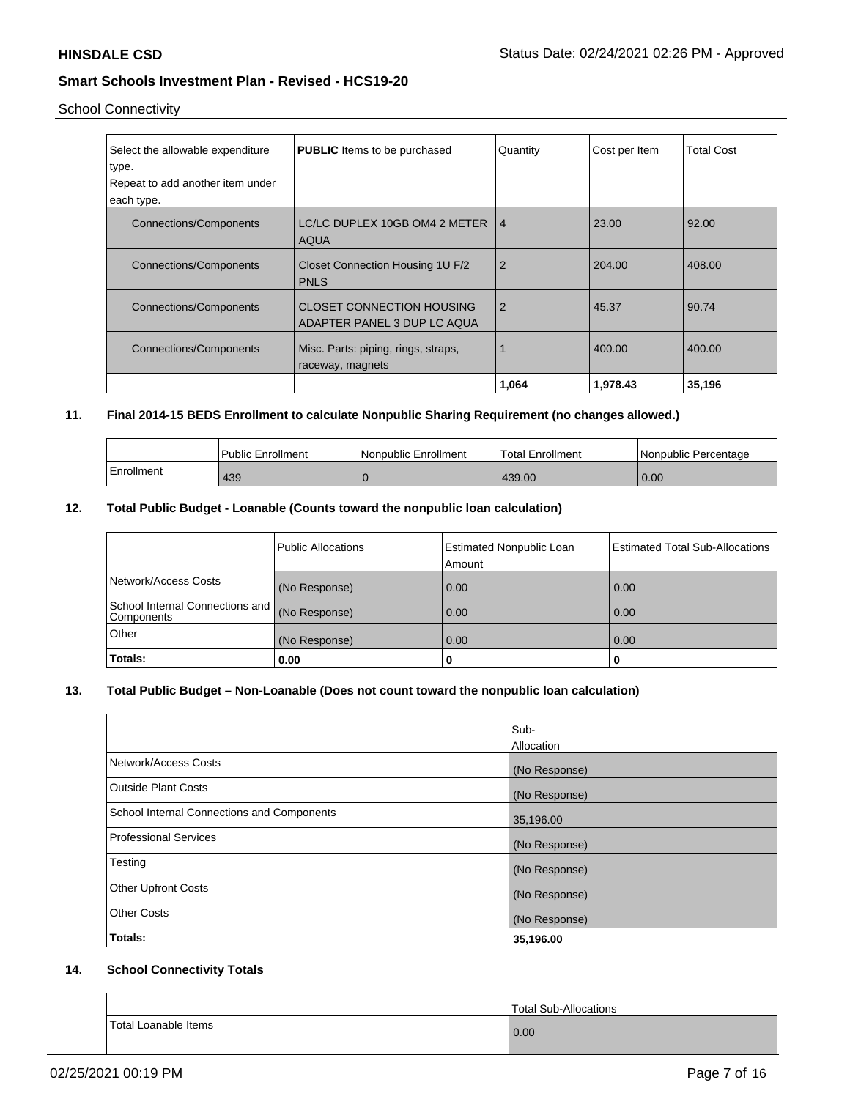School Connectivity

| Select the allowable expenditure<br>type.<br>Repeat to add another item under<br>each type. | <b>PUBLIC</b> Items to be purchased                             | Quantity       | Cost per Item | Total Cost |
|---------------------------------------------------------------------------------------------|-----------------------------------------------------------------|----------------|---------------|------------|
| <b>Connections/Components</b>                                                               | LC/LC DUPLEX 10GB OM4 2 METER<br><b>AQUA</b>                    | $\overline{4}$ | 23.00         | 92.00      |
| <b>Connections/Components</b>                                                               | Closet Connection Housing 1U F/2<br><b>PNLS</b>                 | $\overline{2}$ | 204.00        | 408.00     |
| <b>Connections/Components</b>                                                               | <b>CLOSET CONNECTION HOUSING</b><br>ADAPTER PANEL 3 DUP LC AQUA | $\overline{2}$ | 45.37         | 90.74      |
| <b>Connections/Components</b>                                                               | Misc. Parts: piping, rings, straps,<br>raceway, magnets         |                | 400.00        | 400.00     |
|                                                                                             |                                                                 | 1,064          | 1,978.43      | 35,196     |

## **11. Final 2014-15 BEDS Enrollment to calculate Nonpublic Sharing Requirement (no changes allowed.)**

|            | Public Enrollment | Nonpublic Enrollment | Total Enrollment | Nonpublic Percentage |
|------------|-------------------|----------------------|------------------|----------------------|
| Enrollment | 439               |                      | 439.00           | 0.00                 |

### **12. Total Public Budget - Loanable (Counts toward the nonpublic loan calculation)**

|                                                 | Public Allocations | <b>Estimated Nonpublic Loan</b><br>Amount | <b>Estimated Total Sub-Allocations</b> |
|-------------------------------------------------|--------------------|-------------------------------------------|----------------------------------------|
| Network/Access Costs                            | (No Response)      | 0.00                                      | 0.00                                   |
| School Internal Connections and  <br>Components | (No Response)      | 0.00                                      | 0.00                                   |
| Other                                           | (No Response)      | 0.00                                      | 0.00                                   |
| Totals:                                         | 0.00               | 0                                         |                                        |

## **13. Total Public Budget – Non-Loanable (Does not count toward the nonpublic loan calculation)**

|                                                   | Sub-<br>Allocation |
|---------------------------------------------------|--------------------|
| Network/Access Costs                              | (No Response)      |
| <b>Outside Plant Costs</b>                        | (No Response)      |
| <b>School Internal Connections and Components</b> | 35,196.00          |
| Professional Services                             | (No Response)      |
| Testing                                           | (No Response)      |
| <b>Other Upfront Costs</b>                        | (No Response)      |
| <b>Other Costs</b>                                | (No Response)      |
| <b>Totals:</b>                                    | 35,196.00          |

## **14. School Connectivity Totals**

|                      | Total Sub-Allocations |
|----------------------|-----------------------|
| Total Loanable Items | 0.00                  |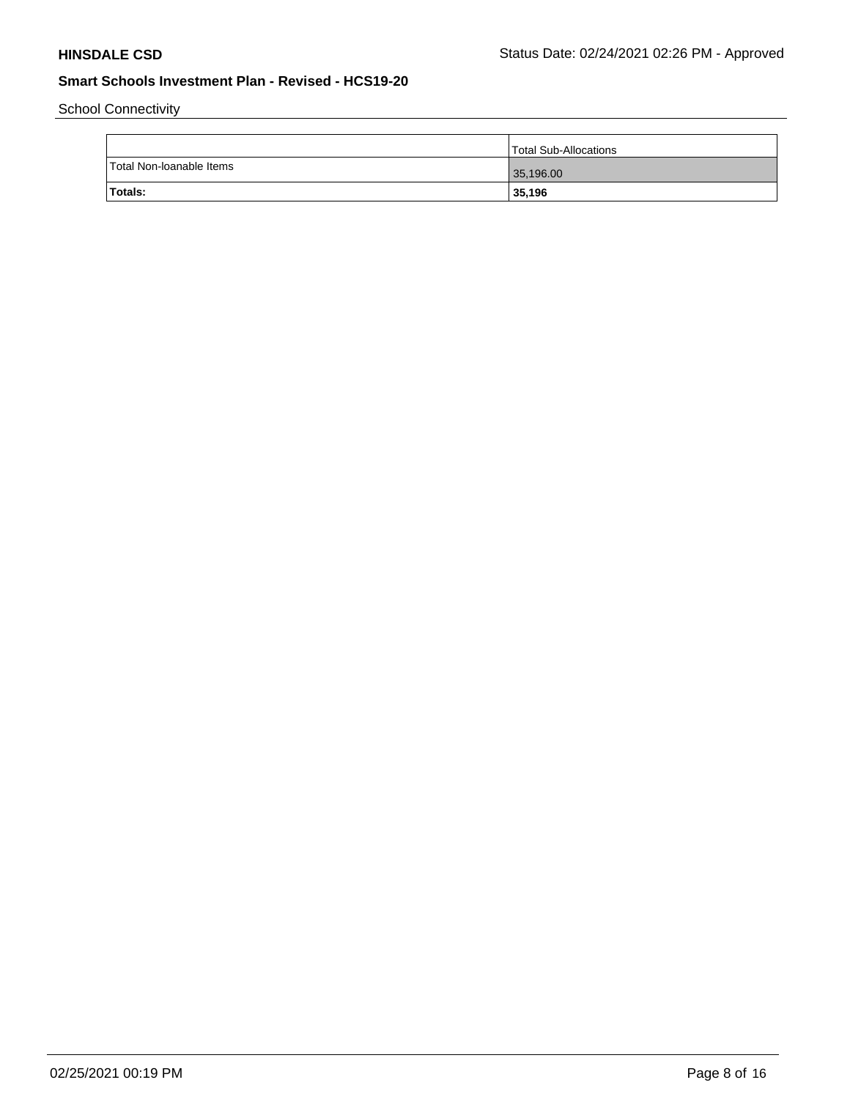School Connectivity

|                          | <sup>1</sup> Total Sub-Allocations |
|--------------------------|------------------------------------|
| Total Non-loanable Items | 35,196.00                          |
| Totals:                  | 35,196                             |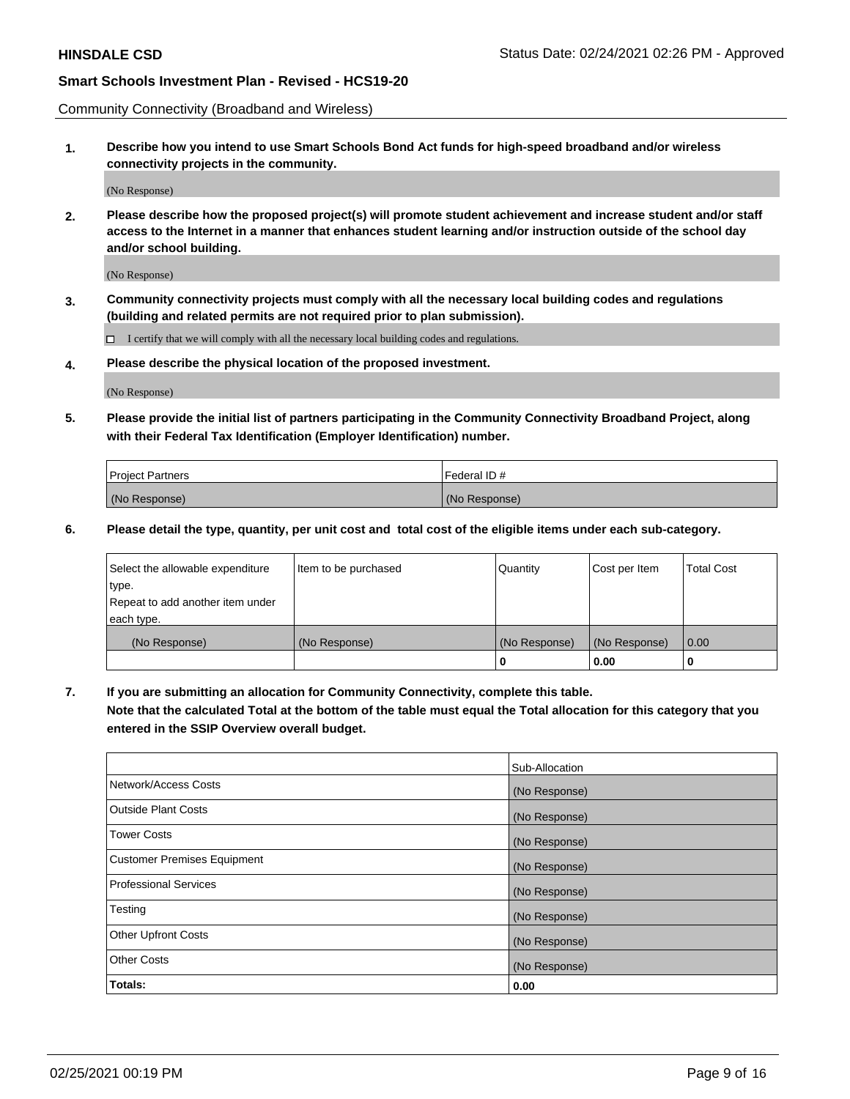Community Connectivity (Broadband and Wireless)

**1. Describe how you intend to use Smart Schools Bond Act funds for high-speed broadband and/or wireless connectivity projects in the community.**

(No Response)

**2. Please describe how the proposed project(s) will promote student achievement and increase student and/or staff access to the Internet in a manner that enhances student learning and/or instruction outside of the school day and/or school building.**

(No Response)

**3. Community connectivity projects must comply with all the necessary local building codes and regulations (building and related permits are not required prior to plan submission).**

 $\Box$  I certify that we will comply with all the necessary local building codes and regulations.

**4. Please describe the physical location of the proposed investment.**

(No Response)

**5. Please provide the initial list of partners participating in the Community Connectivity Broadband Project, along with their Federal Tax Identification (Employer Identification) number.**

| <b>Project Partners</b> | l Federal ID # |
|-------------------------|----------------|
| (No Response)           | (No Response)  |

**6. Please detail the type, quantity, per unit cost and total cost of the eligible items under each sub-category.**

| Select the allowable expenditure | Item to be purchased | Quantity      | Cost per Item | <b>Total Cost</b> |
|----------------------------------|----------------------|---------------|---------------|-------------------|
| type.                            |                      |               |               |                   |
| Repeat to add another item under |                      |               |               |                   |
| each type.                       |                      |               |               |                   |
| (No Response)                    | (No Response)        | (No Response) | (No Response) | 0.00              |
|                                  |                      | o             | 0.00          |                   |

**7. If you are submitting an allocation for Community Connectivity, complete this table.**

**Note that the calculated Total at the bottom of the table must equal the Total allocation for this category that you entered in the SSIP Overview overall budget.**

|                                    | Sub-Allocation |
|------------------------------------|----------------|
| Network/Access Costs               | (No Response)  |
| Outside Plant Costs                | (No Response)  |
| <b>Tower Costs</b>                 | (No Response)  |
| <b>Customer Premises Equipment</b> | (No Response)  |
| <b>Professional Services</b>       | (No Response)  |
| Testing                            | (No Response)  |
| <b>Other Upfront Costs</b>         | (No Response)  |
| <b>Other Costs</b>                 | (No Response)  |
| Totals:                            | 0.00           |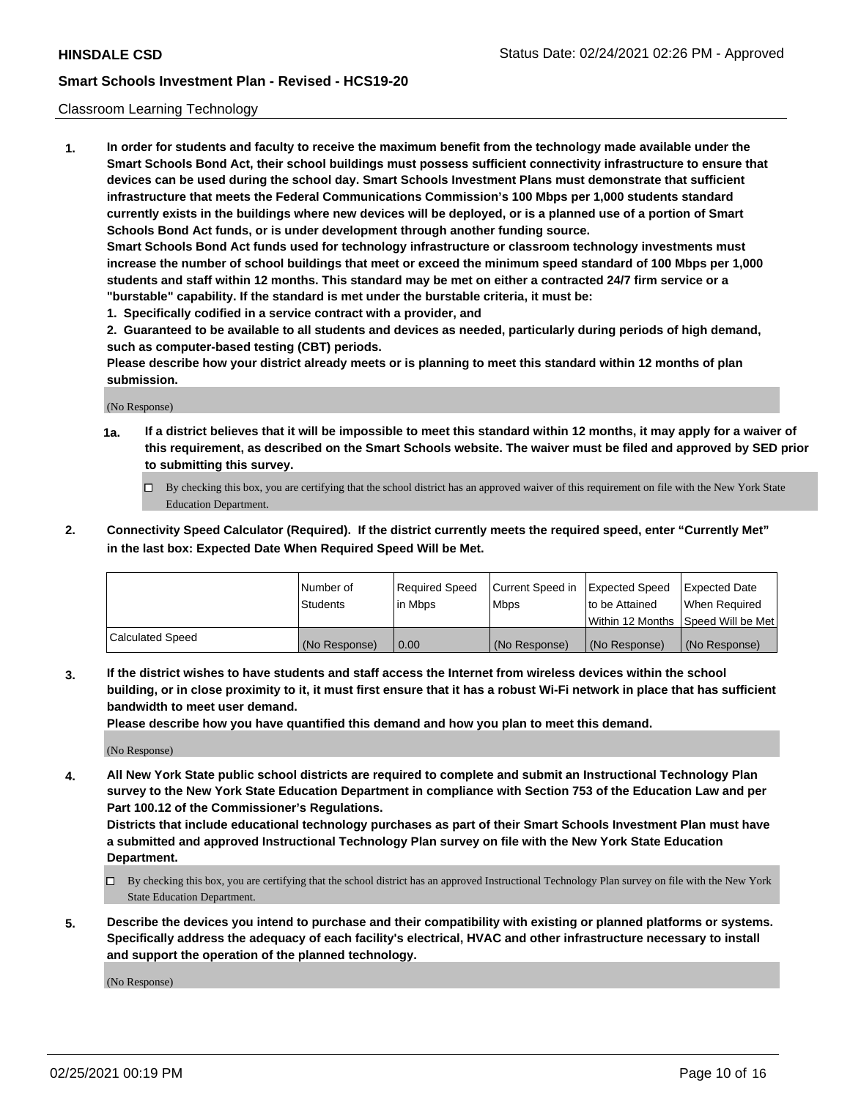### Classroom Learning Technology

**1. In order for students and faculty to receive the maximum benefit from the technology made available under the Smart Schools Bond Act, their school buildings must possess sufficient connectivity infrastructure to ensure that devices can be used during the school day. Smart Schools Investment Plans must demonstrate that sufficient infrastructure that meets the Federal Communications Commission's 100 Mbps per 1,000 students standard currently exists in the buildings where new devices will be deployed, or is a planned use of a portion of Smart Schools Bond Act funds, or is under development through another funding source. Smart Schools Bond Act funds used for technology infrastructure or classroom technology investments must increase the number of school buildings that meet or exceed the minimum speed standard of 100 Mbps per 1,000 students and staff within 12 months. This standard may be met on either a contracted 24/7 firm service or a**

- **"burstable" capability. If the standard is met under the burstable criteria, it must be:**
- **1. Specifically codified in a service contract with a provider, and**

**2. Guaranteed to be available to all students and devices as needed, particularly during periods of high demand, such as computer-based testing (CBT) periods.**

**Please describe how your district already meets or is planning to meet this standard within 12 months of plan submission.**

(No Response)

- **1a. If a district believes that it will be impossible to meet this standard within 12 months, it may apply for a waiver of this requirement, as described on the Smart Schools website. The waiver must be filed and approved by SED prior to submitting this survey.**
	- By checking this box, you are certifying that the school district has an approved waiver of this requirement on file with the New York State Education Department.
- **2. Connectivity Speed Calculator (Required). If the district currently meets the required speed, enter "Currently Met" in the last box: Expected Date When Required Speed Will be Met.**

|                  | l Number of     | Required Speed | Current Speed in | <b>Expected Speed</b> | <b>Expected Date</b>                |
|------------------|-----------------|----------------|------------------|-----------------------|-------------------------------------|
|                  | <b>Students</b> | l in Mbps      | l Mbps           | to be Attained        | When Required                       |
|                  |                 |                |                  |                       | Within 12 Months  Speed Will be Met |
| Calculated Speed | (No Response)   | 0.00           | (No Response)    | l (No Response)       | (No Response)                       |

**3. If the district wishes to have students and staff access the Internet from wireless devices within the school building, or in close proximity to it, it must first ensure that it has a robust Wi-Fi network in place that has sufficient bandwidth to meet user demand.**

**Please describe how you have quantified this demand and how you plan to meet this demand.**

(No Response)

**4. All New York State public school districts are required to complete and submit an Instructional Technology Plan survey to the New York State Education Department in compliance with Section 753 of the Education Law and per Part 100.12 of the Commissioner's Regulations.**

**Districts that include educational technology purchases as part of their Smart Schools Investment Plan must have a submitted and approved Instructional Technology Plan survey on file with the New York State Education Department.**

- By checking this box, you are certifying that the school district has an approved Instructional Technology Plan survey on file with the New York State Education Department.
- **5. Describe the devices you intend to purchase and their compatibility with existing or planned platforms or systems. Specifically address the adequacy of each facility's electrical, HVAC and other infrastructure necessary to install and support the operation of the planned technology.**

(No Response)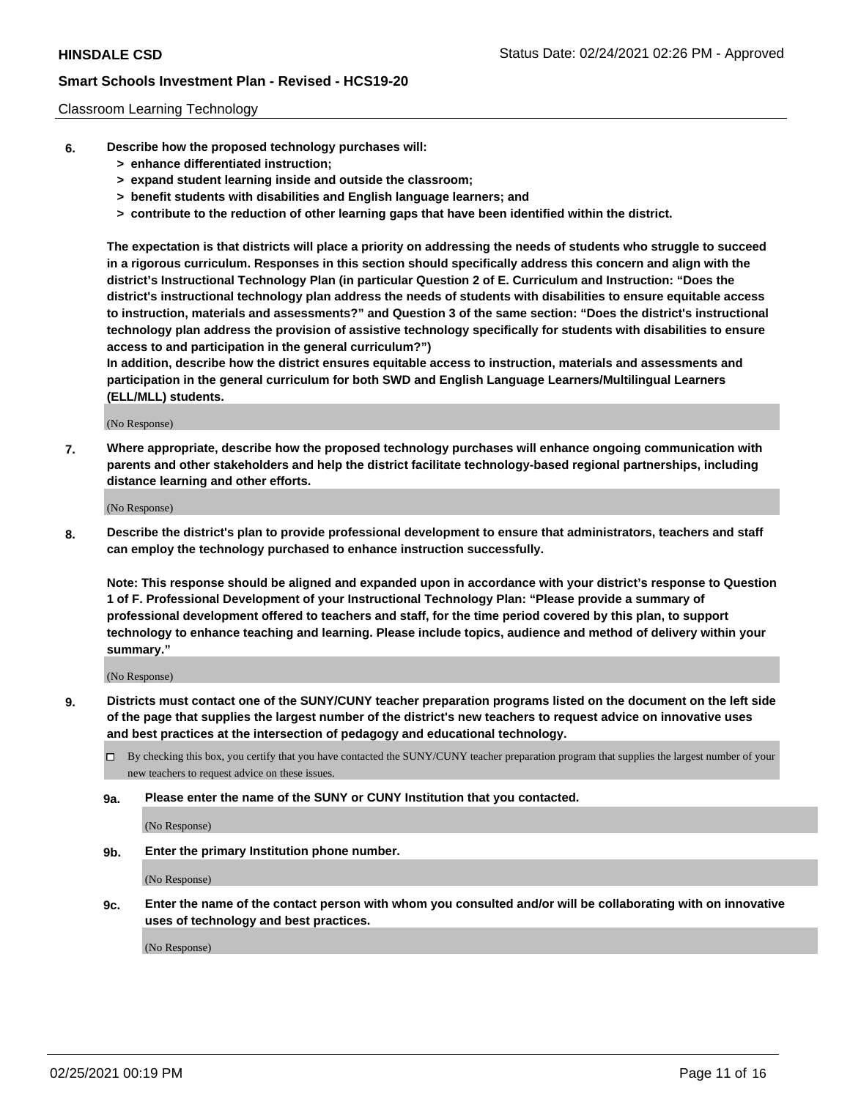### Classroom Learning Technology

- **6. Describe how the proposed technology purchases will:**
	- **> enhance differentiated instruction;**
	- **> expand student learning inside and outside the classroom;**
	- **> benefit students with disabilities and English language learners; and**
	- **> contribute to the reduction of other learning gaps that have been identified within the district.**

**The expectation is that districts will place a priority on addressing the needs of students who struggle to succeed in a rigorous curriculum. Responses in this section should specifically address this concern and align with the district's Instructional Technology Plan (in particular Question 2 of E. Curriculum and Instruction: "Does the district's instructional technology plan address the needs of students with disabilities to ensure equitable access to instruction, materials and assessments?" and Question 3 of the same section: "Does the district's instructional technology plan address the provision of assistive technology specifically for students with disabilities to ensure access to and participation in the general curriculum?")**

**In addition, describe how the district ensures equitable access to instruction, materials and assessments and participation in the general curriculum for both SWD and English Language Learners/Multilingual Learners (ELL/MLL) students.**

(No Response)

**7. Where appropriate, describe how the proposed technology purchases will enhance ongoing communication with parents and other stakeholders and help the district facilitate technology-based regional partnerships, including distance learning and other efforts.**

(No Response)

**8. Describe the district's plan to provide professional development to ensure that administrators, teachers and staff can employ the technology purchased to enhance instruction successfully.**

**Note: This response should be aligned and expanded upon in accordance with your district's response to Question 1 of F. Professional Development of your Instructional Technology Plan: "Please provide a summary of professional development offered to teachers and staff, for the time period covered by this plan, to support technology to enhance teaching and learning. Please include topics, audience and method of delivery within your summary."**

(No Response)

- **9. Districts must contact one of the SUNY/CUNY teacher preparation programs listed on the document on the left side of the page that supplies the largest number of the district's new teachers to request advice on innovative uses and best practices at the intersection of pedagogy and educational technology.**
	- By checking this box, you certify that you have contacted the SUNY/CUNY teacher preparation program that supplies the largest number of your new teachers to request advice on these issues.
	- **9a. Please enter the name of the SUNY or CUNY Institution that you contacted.**

(No Response)

**9b. Enter the primary Institution phone number.**

(No Response)

**9c. Enter the name of the contact person with whom you consulted and/or will be collaborating with on innovative uses of technology and best practices.**

(No Response)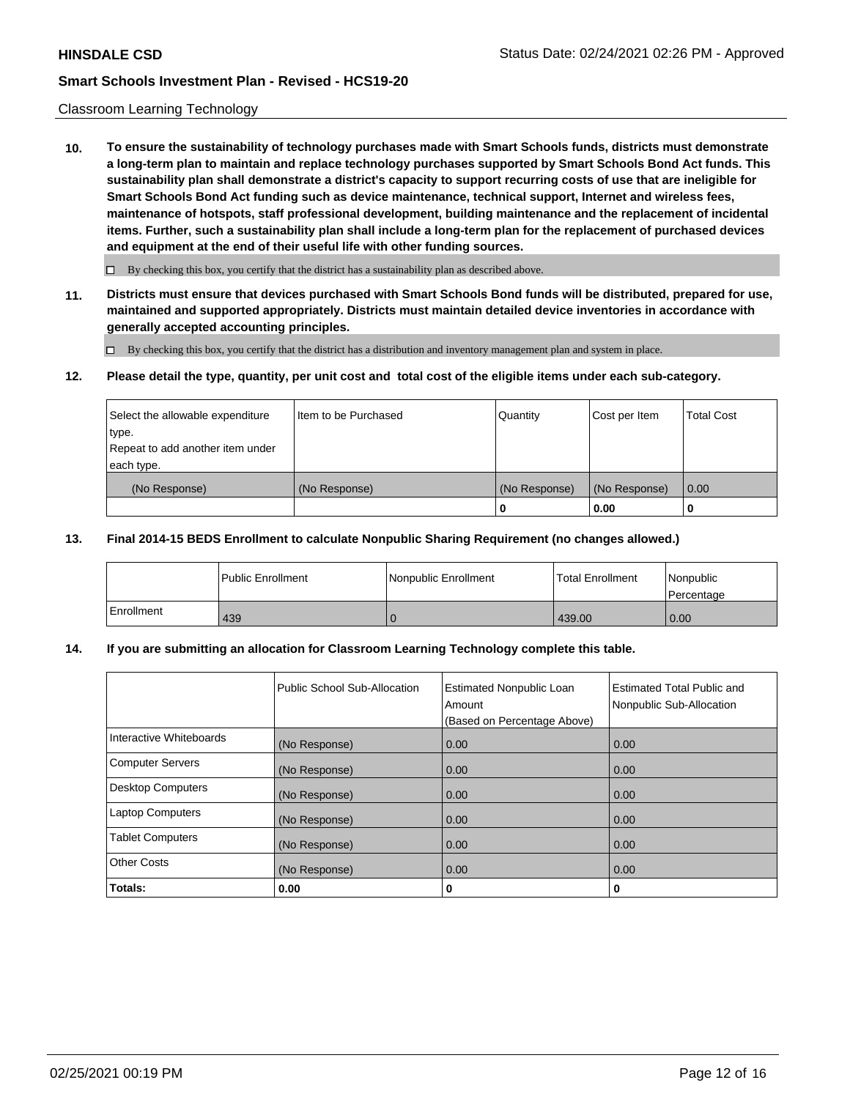### Classroom Learning Technology

**10. To ensure the sustainability of technology purchases made with Smart Schools funds, districts must demonstrate a long-term plan to maintain and replace technology purchases supported by Smart Schools Bond Act funds. This sustainability plan shall demonstrate a district's capacity to support recurring costs of use that are ineligible for Smart Schools Bond Act funding such as device maintenance, technical support, Internet and wireless fees, maintenance of hotspots, staff professional development, building maintenance and the replacement of incidental items. Further, such a sustainability plan shall include a long-term plan for the replacement of purchased devices and equipment at the end of their useful life with other funding sources.**

 $\Box$  By checking this box, you certify that the district has a sustainability plan as described above.

**11. Districts must ensure that devices purchased with Smart Schools Bond funds will be distributed, prepared for use, maintained and supported appropriately. Districts must maintain detailed device inventories in accordance with generally accepted accounting principles.**

By checking this box, you certify that the district has a distribution and inventory management plan and system in place.

#### **12. Please detail the type, quantity, per unit cost and total cost of the eligible items under each sub-category.**

| Select the allowable expenditure<br>type.<br>Repeat to add another item under | Item to be Purchased | Quantity      | Cost per Item | <b>Total Cost</b> |
|-------------------------------------------------------------------------------|----------------------|---------------|---------------|-------------------|
| each type.<br>(No Response)                                                   | (No Response)        | (No Response) | (No Response) | 0.00              |
|                                                                               |                      | 0             | 0.00          |                   |

### **13. Final 2014-15 BEDS Enrollment to calculate Nonpublic Sharing Requirement (no changes allowed.)**

|            | <b>Public Enrollment</b> | Nonpublic Enrollment | <b>Total Enrollment</b> | Nonpublic<br>l Percentage |
|------------|--------------------------|----------------------|-------------------------|---------------------------|
| Enrollment | 439                      |                      | 439.00                  | 0.00                      |

## **14. If you are submitting an allocation for Classroom Learning Technology complete this table.**

|                         | Public School Sub-Allocation | <b>Estimated Nonpublic Loan</b><br>Amount<br>(Based on Percentage Above) | Estimated Total Public and<br>Nonpublic Sub-Allocation |
|-------------------------|------------------------------|--------------------------------------------------------------------------|--------------------------------------------------------|
| Interactive Whiteboards | (No Response)                | 0.00                                                                     | 0.00                                                   |
| Computer Servers        | (No Response)                | 0.00                                                                     | 0.00                                                   |
| Desktop Computers       | (No Response)                | 0.00                                                                     | 0.00                                                   |
| <b>Laptop Computers</b> | (No Response)                | 0.00                                                                     | 0.00                                                   |
| <b>Tablet Computers</b> | (No Response)                | 0.00                                                                     | 0.00                                                   |
| Other Costs             | (No Response)                | 0.00                                                                     | 0.00                                                   |
| Totals:                 | 0.00                         | 0                                                                        | 0                                                      |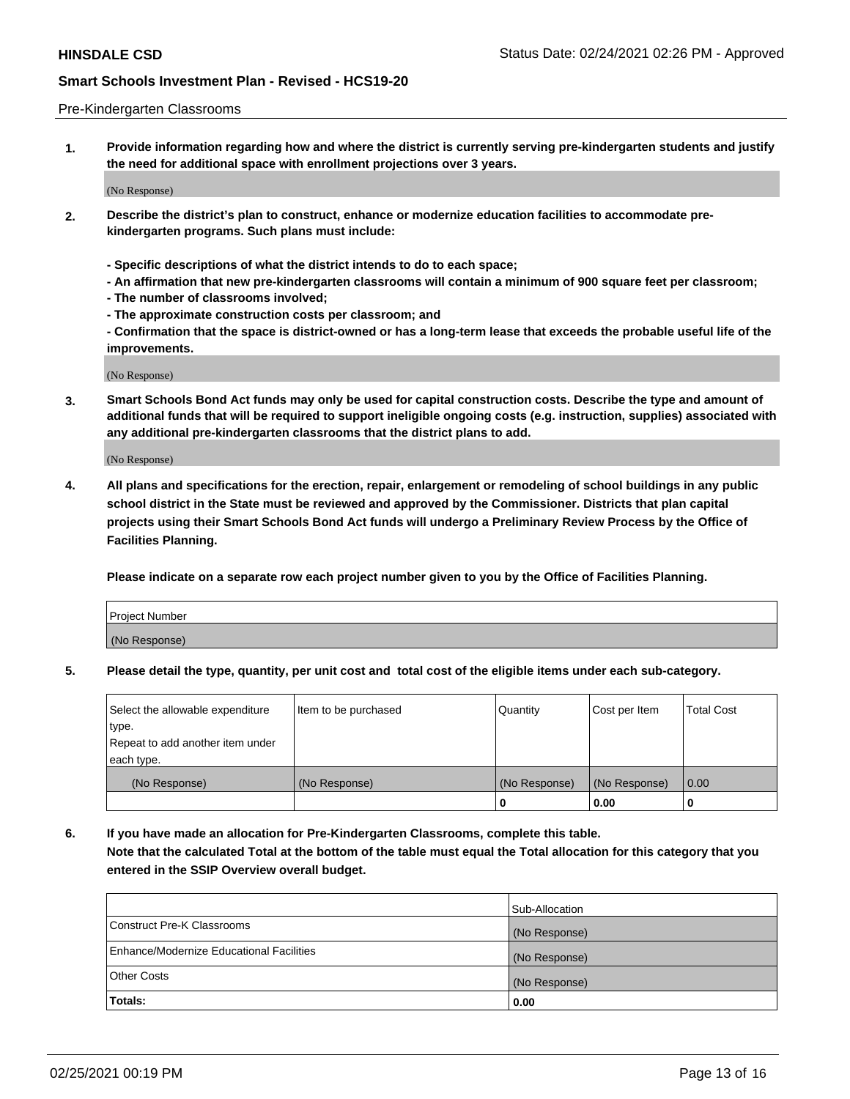#### Pre-Kindergarten Classrooms

**1. Provide information regarding how and where the district is currently serving pre-kindergarten students and justify the need for additional space with enrollment projections over 3 years.**

(No Response)

- **2. Describe the district's plan to construct, enhance or modernize education facilities to accommodate prekindergarten programs. Such plans must include:**
	- **Specific descriptions of what the district intends to do to each space;**
	- **An affirmation that new pre-kindergarten classrooms will contain a minimum of 900 square feet per classroom;**
	- **The number of classrooms involved;**
	- **The approximate construction costs per classroom; and**
	- **Confirmation that the space is district-owned or has a long-term lease that exceeds the probable useful life of the improvements.**

(No Response)

**3. Smart Schools Bond Act funds may only be used for capital construction costs. Describe the type and amount of additional funds that will be required to support ineligible ongoing costs (e.g. instruction, supplies) associated with any additional pre-kindergarten classrooms that the district plans to add.**

(No Response)

**4. All plans and specifications for the erection, repair, enlargement or remodeling of school buildings in any public school district in the State must be reviewed and approved by the Commissioner. Districts that plan capital projects using their Smart Schools Bond Act funds will undergo a Preliminary Review Process by the Office of Facilities Planning.**

**Please indicate on a separate row each project number given to you by the Office of Facilities Planning.**

| Project Number |  |
|----------------|--|
| (No Response)  |  |
|                |  |

**5. Please detail the type, quantity, per unit cost and total cost of the eligible items under each sub-category.**

| Select the allowable expenditure | Item to be purchased | Quantity      | Cost per Item | <b>Total Cost</b> |
|----------------------------------|----------------------|---------------|---------------|-------------------|
| type.                            |                      |               |               |                   |
| Repeat to add another item under |                      |               |               |                   |
| each type.                       |                      |               |               |                   |
| (No Response)                    | (No Response)        | (No Response) | (No Response) | 0.00              |
|                                  |                      | υ             | 0.00          |                   |

**6. If you have made an allocation for Pre-Kindergarten Classrooms, complete this table. Note that the calculated Total at the bottom of the table must equal the Total allocation for this category that you entered in the SSIP Overview overall budget.**

| Totals:                                  | 0.00           |
|------------------------------------------|----------------|
| <b>Other Costs</b>                       | (No Response)  |
| Enhance/Modernize Educational Facilities | (No Response)  |
| Construct Pre-K Classrooms               | (No Response)  |
|                                          | Sub-Allocation |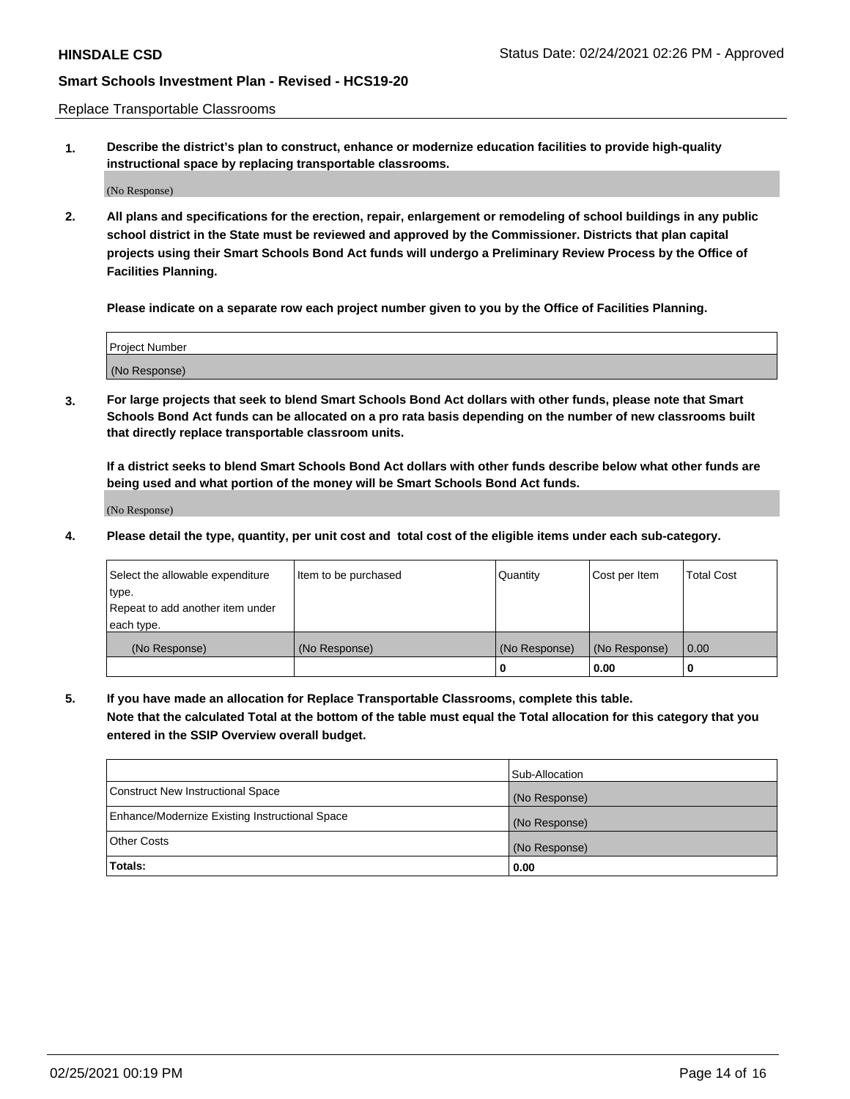Replace Transportable Classrooms

**1. Describe the district's plan to construct, enhance or modernize education facilities to provide high-quality instructional space by replacing transportable classrooms.**

(No Response)

**2. All plans and specifications for the erection, repair, enlargement or remodeling of school buildings in any public school district in the State must be reviewed and approved by the Commissioner. Districts that plan capital projects using their Smart Schools Bond Act funds will undergo a Preliminary Review Process by the Office of Facilities Planning.**

**Please indicate on a separate row each project number given to you by the Office of Facilities Planning.**

| Project Number |  |
|----------------|--|
|                |  |
|                |  |
|                |  |
|                |  |
| (No Response)  |  |
|                |  |
|                |  |
|                |  |

**3. For large projects that seek to blend Smart Schools Bond Act dollars with other funds, please note that Smart Schools Bond Act funds can be allocated on a pro rata basis depending on the number of new classrooms built that directly replace transportable classroom units.**

**If a district seeks to blend Smart Schools Bond Act dollars with other funds describe below what other funds are being used and what portion of the money will be Smart Schools Bond Act funds.**

(No Response)

**4. Please detail the type, quantity, per unit cost and total cost of the eligible items under each sub-category.**

| Select the allowable expenditure | Item to be purchased | Quantity      | Cost per Item | Total Cost |
|----------------------------------|----------------------|---------------|---------------|------------|
| ∣type.                           |                      |               |               |            |
| Repeat to add another item under |                      |               |               |            |
| each type.                       |                      |               |               |            |
| (No Response)                    | (No Response)        | (No Response) | (No Response) | 0.00       |
|                                  |                      | u             | 0.00          |            |

**5. If you have made an allocation for Replace Transportable Classrooms, complete this table. Note that the calculated Total at the bottom of the table must equal the Total allocation for this category that you entered in the SSIP Overview overall budget.**

|                                                | Sub-Allocation |
|------------------------------------------------|----------------|
| Construct New Instructional Space              | (No Response)  |
| Enhance/Modernize Existing Instructional Space | (No Response)  |
| Other Costs                                    | (No Response)  |
| Totals:                                        | 0.00           |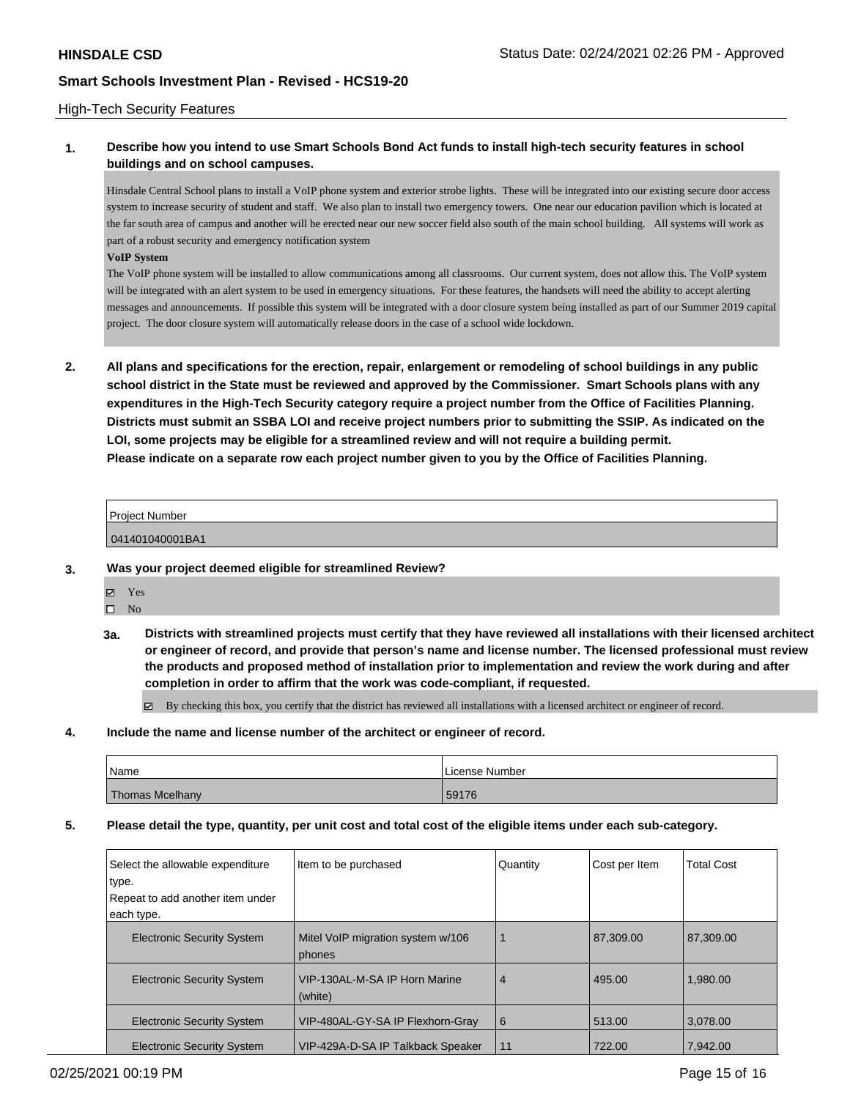### High-Tech Security Features

## **1. Describe how you intend to use Smart Schools Bond Act funds to install high-tech security features in school buildings and on school campuses.**

Hinsdale Central School plans to install a VoIP phone system and exterior strobe lights. These will be integrated into our existing secure door access system to increase security of student and staff. We also plan to install two emergency towers. One near our education pavilion which is located at the far south area of campus and another will be erected near our new soccer field also south of the main school building. All systems will work as part of a robust security and emergency notification system

#### **VoIP System**

The VoIP phone system will be installed to allow communications among all classrooms. Our current system, does not allow this. The VoIP system will be integrated with an alert system to be used in emergency situations. For these features, the handsets will need the ability to accept alerting messages and announcements. If possible this system will be integrated with a door closure system being installed as part of our Summer 2019 capital project. The door closure system will automatically release doors in the case of a school wide lockdown.

**2. All plans and specifications for the erection, repair, enlargement or remodeling of school buildings in any public school district in the State must be reviewed and approved by the Commissioner. Smart Schools plans with any expenditures in the High-Tech Security category require a project number from the Office of Facilities Planning. Districts must submit an SSBA LOI and receive project numbers prior to submitting the SSIP. As indicated on the LOI, some projects may be eligible for a streamlined review and will not require a building permit. Please indicate on a separate row each project number given to you by the Office of Facilities Planning.**

# Project Number

041401040001BA1

### **3. Was your project deemed eligible for streamlined Review?**

- Yes
	- $\square$  No
- **3a. Districts with streamlined projects must certify that they have reviewed all installations with their licensed architect or engineer of record, and provide that person's name and license number. The licensed professional must review the products and proposed method of installation prior to implementation and review the work during and after completion in order to affirm that the work was code-compliant, if requested.**

By checking this box, you certify that the district has reviewed all installations with a licensed architect or engineer of record.

**4. Include the name and license number of the architect or engineer of record.**

| Name            | License Number |
|-----------------|----------------|
| Thomas Mcelhany | 59176          |

### **5. Please detail the type, quantity, per unit cost and total cost of the eligible items under each sub-category.**

| Select the allowable expenditure<br>type.<br>Repeat to add another item under<br>each type. | Item to be purchased                        | Quantity       | Cost per Item | <b>Total Cost</b> |
|---------------------------------------------------------------------------------------------|---------------------------------------------|----------------|---------------|-------------------|
| <b>Electronic Security System</b>                                                           | Mitel VoIP migration system w/106<br>phones |                | 87.309.00     | 87.309.00         |
| <b>Electronic Security System</b>                                                           | VIP-130AL-M-SA IP Horn Marine<br>(white)    | $\overline{4}$ | 495.00        | 1.980.00          |
| <b>Electronic Security System</b>                                                           | VIP-480AL-GY-SA IP Flexhorn-Gray            | 6              | 513.00        | 3,078.00          |
| <b>Electronic Security System</b>                                                           | VIP-429A-D-SA IP Talkback Speaker           | 11             | 722.00        | 7.942.00          |